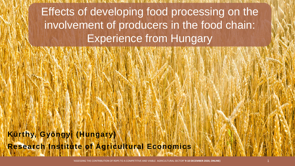Effects of developing food processing on the involvement of producers in the food chain: Experience from Hungary

**Kürthy, Gyöngyi (Hungary) Research Institute of Agricultural Economics**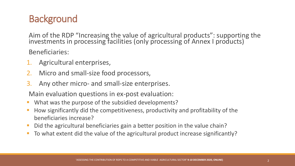# **Background**

Aim of the RDP "Increasing the value of agricultural products": supporting the investments in processing facilities (only processing of Annex I products)

Beneficiaries:

- Agricultural enterprises,
- 2. Micro and small-size food processors,
- 3. Any other micro- and small-size enterprises.

Main evaluation questions in ex-post evaluation:

- What was the purpose of the subsidied developments?
- How significantly did the competitiveness, productivity and profitability of the beneficiaries increase?
- Did the agricultural beneficiaries gain a better position in the value chain?
- To what extent did the value of the agricultural product increase significantly?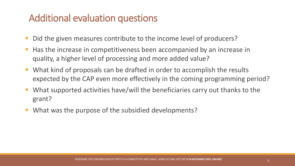## Additional evaluation questions

- Did the given measures contribute to the income level of producers?
- Has the increase in competitiveness been accompanied by an increase in quality, a higher level of processing and more added value?
- What kind of proposals can be drafted in order to accomplish the results expected by the CAP even more effectively in the coming programming period?
- What supported activities have/will the beneficiaries carry out thanks to the grant?
- What was the purpose of the subsidied developments?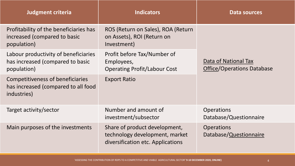| <b>Judgment criteria</b>                                                                | <b>Indicators</b>                                                                                    | Data sources                                              |
|-----------------------------------------------------------------------------------------|------------------------------------------------------------------------------------------------------|-----------------------------------------------------------|
| Profitability of the beneficiaries has<br>increased (compared to basic<br>population)   | ROS (Return on Sales), ROA (Return<br>on Assets), ROI (Return on<br>Investment)                      | Data of National Tax<br><b>Office/Operations Database</b> |
| Labour productivity of beneficiaries<br>has increased (compared to basic<br>population) | Profit before Tax/Number of<br>Employees,<br><b>Operating Profit/Labour Cost</b>                     |                                                           |
| Competitiveness of beneficiaries<br>has increased (compared to all food<br>industries)  | <b>Export Ratio</b>                                                                                  |                                                           |
| Target activity/sector                                                                  | Number and amount of<br>investment/subsector                                                         | <b>Operations</b><br>Database/Questionnaire               |
| Main purposes of the investments                                                        | Share of product development,<br>technology development, market<br>diversification etc. Applications | <b>Operations</b><br>Database/Questionnaire               |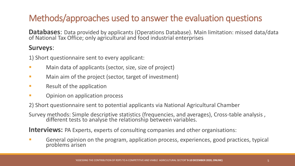## Methods/approaches used to answer the evaluation questions

Databases: Data provided by applicants (Operations Database). Main limitation: missed data/data of National Tax Office; only agricultural and food industrial enterprises

### **Surveys**:

1) Short questionnaire sent to every applicant:

- Main data of applicants (sector, size, size of project)
- Main aim of the project (sector, target of investment)
- Result of the application
- Opinion on application process

2) Short questionnaire sent to potential applicants via National Agricultural Chamber

Survey methods: Simple descriptive statistics (frequencies, and averages), Cross-table analysis , different tests to analyse the relationship between variables.

**Interviews:** PA Experts, experts of consulting companies and other organisations:

■ General opinion on the program, application process, experiences, good practices, typical problems arisen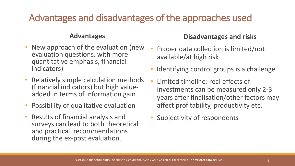# Advantages and disadvantages of the approaches used

#### **Advantages**

- New approach of the evaluation (new evaluation questions, with more quantitative emphasis, financial indicators)
- Relatively simple calculation methods (financial indicators) but high valueadded in terms of information gain
- Possibility of qualitative evaluation
- Results of financial analysis and surveys can lead to both theoretical and practical recommendations during the ex-post evaluation.

### **Disadvantages and risks**

- Proper data collection is limited/not available/at high risk
- Identifying control groups is a challenge
- Limited timeline: real effects of investments can be measured only 2-3 years after finalisation/other factors may affect profitability, productivity etc.
- Subjectivity of respondents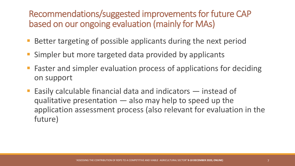Recommendations/suggested improvements for future CAP based on our ongoing evaluation (mainly for MAs)

- Better targeting of possible applicants during the next period
- Simpler but more targeted data provided by applicants
- Faster and simpler evaluation process of applications for deciding on support
- Easily calculable financial data and indicators instead of qualitative presentation — also may help to speed up the application assessment process (also relevant for evaluation in the future)